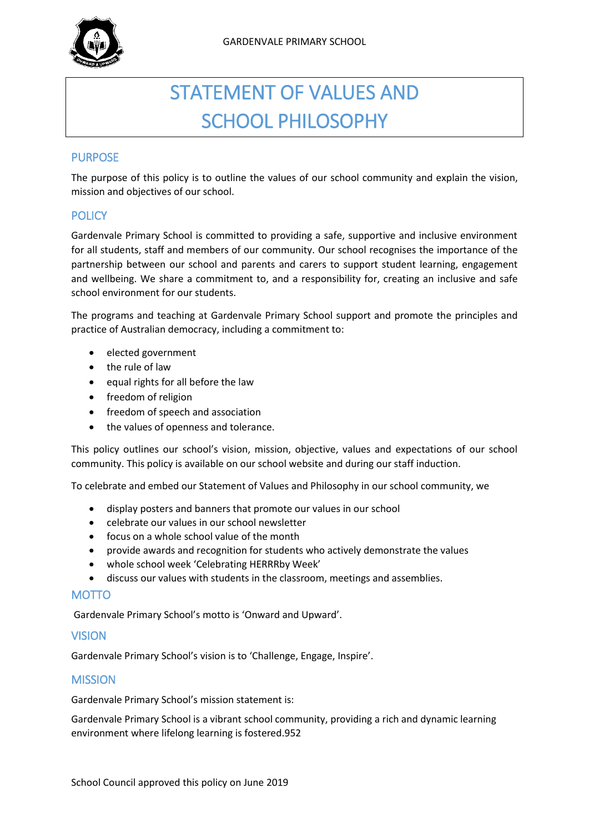

# STATEMENT OF VALUES AND SCHOOL PHILOSOPHY

## **PURPOSE**

The purpose of this policy is to outline the values of our school community and explain the vision, mission and objectives of our school.

## **POLICY**

Gardenvale Primary School is committed to providing a safe, supportive and inclusive environment for all students, staff and members of our community. Our school recognises the importance of the partnership between our school and parents and carers to support student learning, engagement and wellbeing. We share a commitment to, and a responsibility for, creating an inclusive and safe school environment for our students.

The programs and teaching at Gardenvale Primary School support and promote the principles and practice of Australian democracy, including a commitment to:

- elected government
- the rule of law
- equal rights for all before the law
- freedom of religion
- freedom of speech and association
- the values of openness and tolerance.

This policy outlines our school's vision, mission, objective, values and expectations of our school community. This policy is available on our school website and during our staff induction.

To celebrate and embed our Statement of Values and Philosophy in our school community, we

- display posters and banners that promote our values in our school
- celebrate our values in our school newsletter
- focus on a whole school value of the month
- provide awards and recognition for students who actively demonstrate the values
- whole school week 'Celebrating HERRRby Week'
- discuss our values with students in the classroom, meetings and assemblies.

## MOTTO

Gardenvale Primary School's motto is 'Onward and Upward'.

#### **VISION**

Gardenvale Primary School's vision is to 'Challenge, Engage, Inspire'.

## **MISSION**

Gardenvale Primary School's mission statement is:

Gardenvale Primary School is a vibrant school community, providing a rich and dynamic learning environment where lifelong learning is fostered.952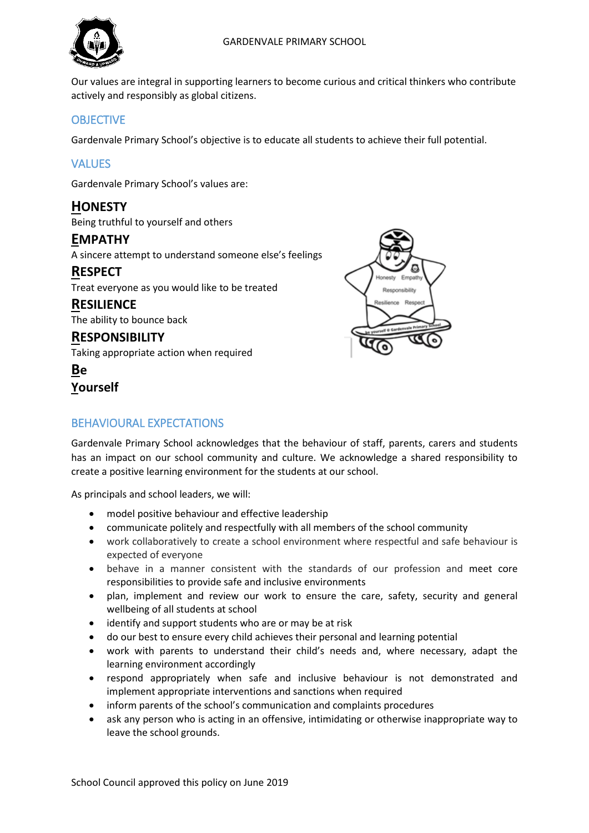

Our values are integral in supporting learners to become curious and critical thinkers who contribute actively and responsibly as global citizens.

# **OBJECTIVE**

Gardenvale Primary School's objective is to educate all students to achieve their full potential.

# **VALUES**

Gardenvale Primary School's values are:

## **HONESTY**

Being truthful to yourself and others

## **EMPATHY**

A sincere attempt to understand someone else's feelings

## **RESPECT**

Treat everyone as you would like to be treated

# **RESILIENCE**

The ability to bounce back

## **RESPONSIBILITY** Taking appropriate action when required

**Be Yourself**



# BEHAVIOURAL EXPECTATIONS

Gardenvale Primary School acknowledges that the behaviour of staff, parents, carers and students has an impact on our school community and culture. We acknowledge a shared responsibility to create a positive learning environment for the students at our school.

As principals and school leaders, we will:

- model positive behaviour and effective leadership
- communicate politely and respectfully with all members of the school community
- work collaboratively to create a school environment where respectful and safe behaviour is expected of everyone
- behave in a manner consistent with the standards of our profession and meet core responsibilities to provide safe and inclusive environments
- plan, implement and review our work to ensure the care, safety, security and general wellbeing of all students at school
- identify and support students who are or may be at risk
- do our best to ensure every child achieves their personal and learning potential
- work with parents to understand their child's needs and, where necessary, adapt the learning environment accordingly
- respond appropriately when safe and inclusive behaviour is not demonstrated and implement appropriate interventions and sanctions when required
- inform parents of the school's communication and complaints procedures
- ask any person who is acting in an offensive, intimidating or otherwise inappropriate way to leave the school grounds.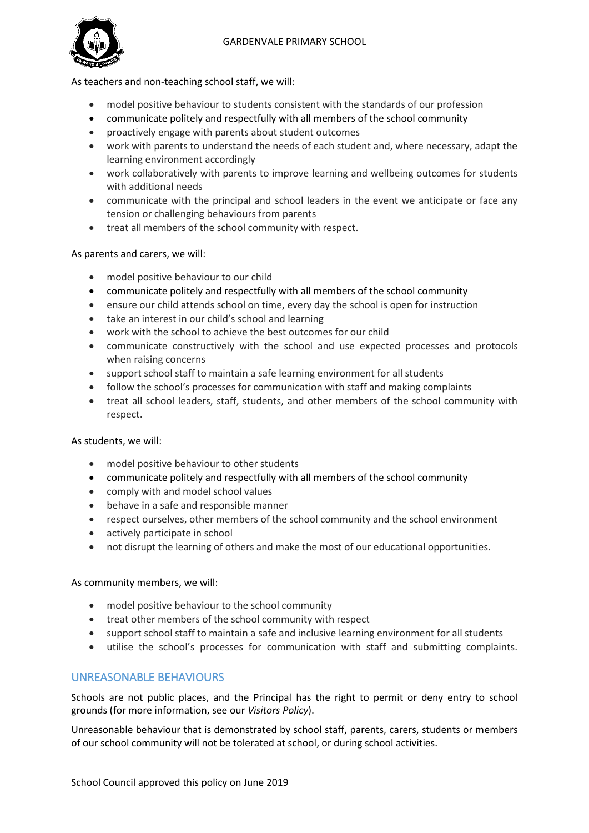## GARDENVALE PRIMARY SCHOOL



As teachers and non-teaching school staff, we will:

- model positive behaviour to students consistent with the standards of our profession
- communicate politely and respectfully with all members of the school community
- proactively engage with parents about student outcomes
- work with parents to understand the needs of each student and, where necessary, adapt the learning environment accordingly
- work collaboratively with parents to improve learning and wellbeing outcomes for students with additional needs
- communicate with the principal and school leaders in the event we anticipate or face any tension or challenging behaviours from parents
- treat all members of the school community with respect.

## As parents and carers, we will:

- model positive behaviour to our child
- communicate politely and respectfully with all members of the school community
- ensure our child attends school on time, every day the school is open for instruction
- take an interest in our child's school and learning
- work with the school to achieve the best outcomes for our child
- communicate constructively with the school and use expected processes and protocols when raising concerns
- support school staff to maintain a safe learning environment for all students
- follow the school's processes for communication with staff and making complaints
- treat all school leaders, staff, students, and other members of the school community with respect.

## As students, we will:

- model positive behaviour to other students
- communicate politely and respectfully with all members of the school community
- comply with and model school values
- behave in a safe and responsible manner
- respect ourselves, other members of the school community and the school environment
- actively participate in school
- not disrupt the learning of others and make the most of our educational opportunities.

#### As community members, we will:

- model positive behaviour to the school community
- treat other members of the school community with respect
- support school staff to maintain a safe and inclusive learning environment for all students
- utilise the school's processes for communication with staff and submitting complaints.

## UNREASONABLE BEHAVIOURS

Schools are not public places, and the Principal has the right to permit or deny entry to school grounds (for more information, see our *Visitors Policy*).

Unreasonable behaviour that is demonstrated by school staff, parents, carers, students or members of our school community will not be tolerated at school, or during school activities.